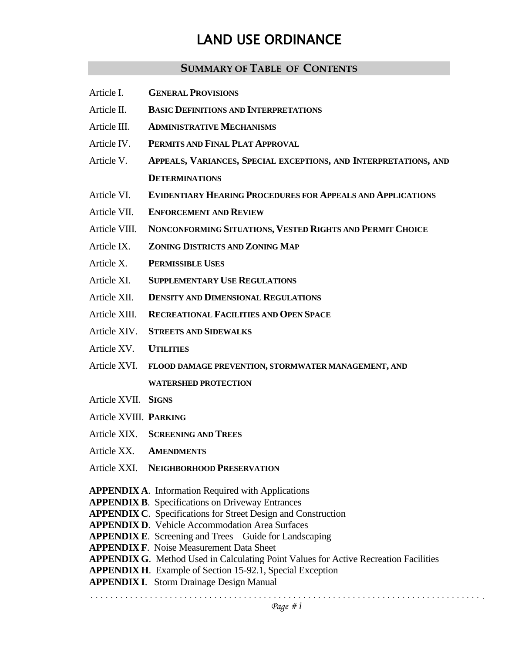# LAND USE ORDINANCE

### **SUMMARY OF TABLE OF CONTENTS**

- Article I. **GENERAL PROVISIONS**
- Article II. **BASIC DEFINITIONS AND INTERPRETATIONS**
- Article III. **ADMINISTRATIVE MECHANISMS**
- Article IV. **PERMITS AND FINAL PLAT APPROVAL**
- Article V. **APPEALS, VARIANCES, SPECIAL EXCEPTIONS, AND INTERPRETATIONS, AND DETERMINATIONS**
- Article VI. **EVIDENTIARY HEARING PROCEDURES FOR APPEALS AND APPLICATIONS**
- Article VII. **ENFORCEMENT AND REVIEW**
- Article VIII. **NONCONFORMING SITUATIONS, VESTED RIGHTS AND PERMIT CHOICE**
- Article IX. **ZONING DISTRICTS AND ZONING MAP**
- Article X. **PERMISSIBLE USES**
- Article XI. **SUPPLEMENTARY USE REGULATIONS**
- Article XII. **DENSITY AND DIMENSIONAL REGULATIONS**
- Article XIII. **RECREATIONAL FACILITIES AND OPEN SPACE**
- Article XIV. **STREETS AND SIDEWALKS**
- Article XV. **UTILITIES**
- Article XVI. **FLOOD DAMAGE PREVENTION, STORMWATER MANAGEMENT, AND WATERSHED PROTECTION**
- Article XVII. **SIGNS**
- Article XVIII. **PARKING**

- Article XIX. **SCREENING AND TREES**
- Article XX. **AMENDMENTS**
- Article XXI. **NEIGHBORHOOD PRESERVATION**

**APPENDIX A**. Information Required with Applications

- **APPENDIX B**. Specifications on Driveway Entrances
- **APPENDIX C**. Specifications for Street Design and Construction
- **APPENDIX D**. Vehicle Accommodation Area Surfaces
- **APPENDIX E**. Screening and Trees Guide for Landscaping
- **APPENDIX F**. Noise Measurement Data Sheet
- **APPENDIX G**. Method Used in Calculating Point Values for Active Recreation Facilities
- **APPENDIX H**. Example of Section 15-92.1, Special Exception
- **APPENDIX I**. Storm Drainage Design Manual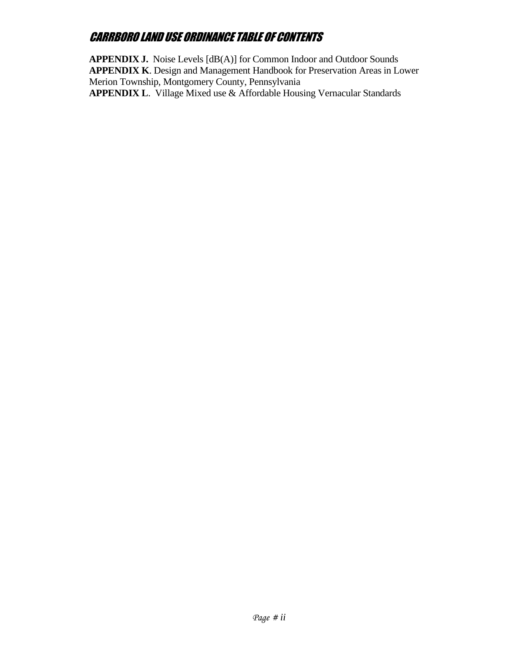**APPENDIX J.** Noise Levels [dB(A)] for Common Indoor and Outdoor Sounds **APPENDIX K**. Design and Management Handbook for Preservation Areas in Lower Merion Township, Montgomery County, Pennsylvania **APPENDIX L**. Village Mixed use & Affordable Housing Vernacular Standards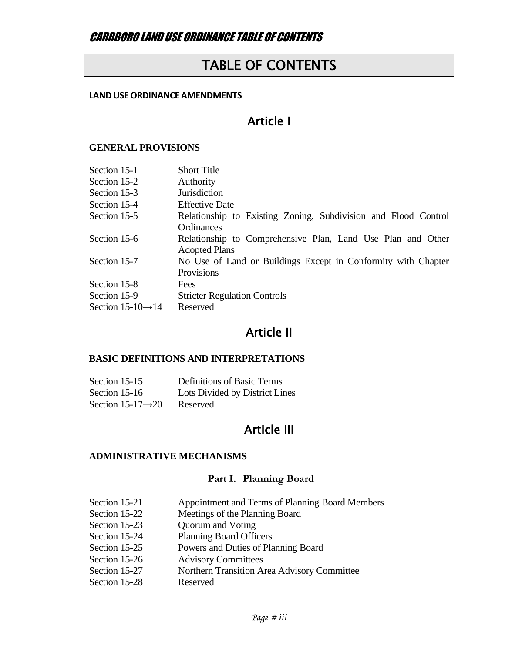# TABLE OF CONTENTS

#### **LANDUSEORDINANCE AMENDMENTS**

# Article I

#### **GENERAL PROVISIONS**

| Section 15-1                   | <b>Short Title</b>                                             |
|--------------------------------|----------------------------------------------------------------|
| Section 15-2                   | <b>Authority</b>                                               |
| Section 15-3                   | <b>Jurisdiction</b>                                            |
| Section 15-4                   | <b>Effective Date</b>                                          |
| Section 15-5                   | Relationship to Existing Zoning, Subdivision and Flood Control |
|                                | Ordinances                                                     |
| Section 15-6                   | Relationship to Comprehensive Plan, Land Use Plan and Other    |
|                                | <b>Adopted Plans</b>                                           |
| Section 15-7                   | No Use of Land or Buildings Except in Conformity with Chapter  |
|                                | Provisions                                                     |
| Section 15-8                   | Fees                                                           |
| Section 15-9                   | <b>Stricter Regulation Controls</b>                            |
| Section 15-10 $\rightarrow$ 14 | Reserved                                                       |
|                                |                                                                |

# Article II

### **BASIC DEFINITIONS AND INTERPRETATIONS**

| Section 15-15                  | Definitions of Basic Terms     |
|--------------------------------|--------------------------------|
| Section 15-16                  | Lots Divided by District Lines |
| Section 15-17 $\rightarrow$ 20 | Reserved                       |

# Article III

#### **ADMINISTRATIVE MECHANISMS**

### **Part I. Planning Board**

| Section 15-21 | Appointment and Terms of Planning Board Members |
|---------------|-------------------------------------------------|
| Section 15-22 | Meetings of the Planning Board                  |
| Section 15-23 | Quorum and Voting                               |
| Section 15-24 | <b>Planning Board Officers</b>                  |
| Section 15-25 | Powers and Duties of Planning Board             |
| Section 15-26 | <b>Advisory Committees</b>                      |
| Section 15-27 | Northern Transition Area Advisory Committee     |
| Section 15-28 | Reserved                                        |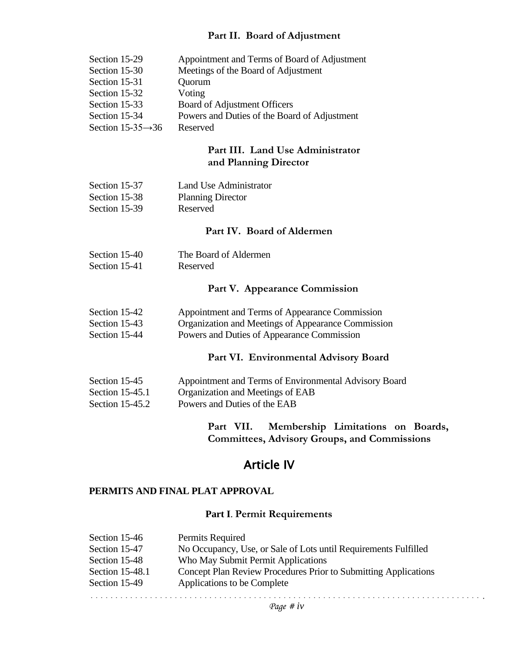#### **Part II. Board of Adjustment**

| Section 15-29                  | Appointment and Terms of Board of Adjustment |
|--------------------------------|----------------------------------------------|
| Section 15-30                  | Meetings of the Board of Adjustment          |
| Section 15-31                  | Quorum                                       |
| Section 15-32                  | Voting                                       |
| Section 15-33                  | Board of Adjustment Officers                 |
| Section 15-34                  | Powers and Duties of the Board of Adjustment |
| Section 15-35 $\rightarrow$ 36 | Reserved                                     |

### **Part III. Land Use Administrator and Planning Director**

| Section 15-37 | Land Use Administrator   |
|---------------|--------------------------|
| Section 15-38 | <b>Planning Director</b> |
| Section 15-39 | Reserved                 |

#### **Part IV. Board of Aldermen**

| Section 15-40 | The Board of Aldermen |
|---------------|-----------------------|
| Section 15-41 | Reserved              |

#### **Part V. Appearance Commission**

| Section 15-42 | Appointment and Terms of Appearance Commission |  |
|---------------|------------------------------------------------|--|
|---------------|------------------------------------------------|--|

- Section 15-43 Organization and Meetings of Appearance Commission
- Section 15-44 Powers and Duties of Appearance Commission

#### **Part VI. Environmental Advisory Board**

| Section 15-45     | Appointment and Terms of Environmental Advisory Board |
|-------------------|-------------------------------------------------------|
| Section $15-45.1$ | Organization and Meetings of EAB                      |
| Section $15-45.2$ | Powers and Duties of the EAB                          |

**Part VII. Membership Limitations on Boards, Committees, Advisory Groups, and Commissions**

## Article IV

#### **PERMITS AND FINAL PLAT APPROVAL**

#### **Part I**. **Permit Requirements**

| Section 15-46   | Permits Required                                                |
|-----------------|-----------------------------------------------------------------|
| Section 15-47   | No Occupancy, Use, or Sale of Lots until Requirements Fulfilled |
| Section 15-48   | Who May Submit Permit Applications                              |
| Section 15-48.1 | Concept Plan Review Procedures Prior to Submitting Applications |
| Section 15-49   | Applications to be Complete                                     |
|                 |                                                                 |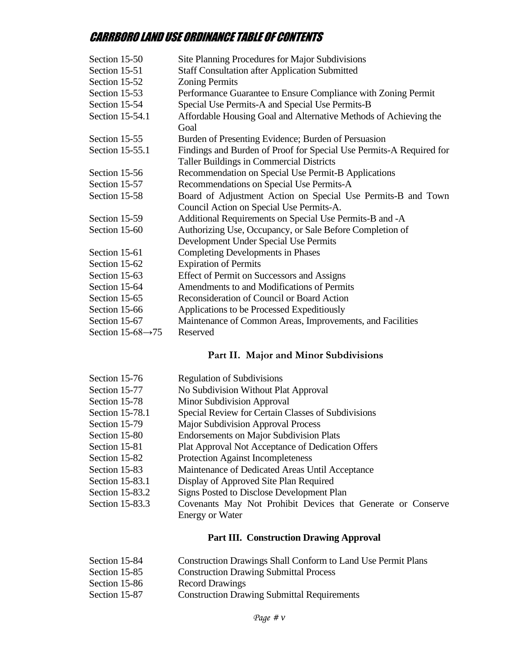| Section 15-50                  | Site Planning Procedures for Major Subdivisions                          |
|--------------------------------|--------------------------------------------------------------------------|
| Section 15-51                  | <b>Staff Consultation after Application Submitted</b>                    |
| Section 15-52                  | <b>Zoning Permits</b>                                                    |
| Section 15-53                  | Performance Guarantee to Ensure Compliance with Zoning Permit            |
| Section 15-54                  | Special Use Permits-A and Special Use Permits-B                          |
| Section 15-54.1                | Affordable Housing Goal and Alternative Methods of Achieving the<br>Goal |
| Section 15-55                  | Burden of Presenting Evidence; Burden of Persuasion                      |
| Section 15-55.1                | Findings and Burden of Proof for Special Use Permits-A Required for      |
|                                | <b>Taller Buildings in Commercial Districts</b>                          |
| Section 15-56                  | Recommendation on Special Use Permit-B Applications                      |
| Section 15-57                  | Recommendations on Special Use Permits-A                                 |
| Section 15-58                  | Board of Adjustment Action on Special Use Permits-B and Town             |
|                                | Council Action on Special Use Permits-A.                                 |
| Section 15-59                  | Additional Requirements on Special Use Permits-B and -A                  |
| Section 15-60                  | Authorizing Use, Occupancy, or Sale Before Completion of                 |
|                                | Development Under Special Use Permits                                    |
| Section 15-61                  | <b>Completing Developments in Phases</b>                                 |
| Section 15-62                  | <b>Expiration of Permits</b>                                             |
| Section 15-63                  | Effect of Permit on Successors and Assigns                               |
| Section 15-64                  | Amendments to and Modifications of Permits                               |
| Section 15-65                  | Reconsideration of Council or Board Action                               |
| Section 15-66                  | Applications to be Processed Expeditiously                               |
| Section 15-67                  | Maintenance of Common Areas, Improvements, and Facilities                |
| Section 15-68 $\rightarrow$ 75 | Reserved                                                                 |

### **Part II. Major and Minor Subdivisions**

| Section 15-76   | <b>Regulation of Subdivisions</b>                            |
|-----------------|--------------------------------------------------------------|
| Section 15-77   | No Subdivision Without Plat Approval                         |
| Section 15-78   | <b>Minor Subdivision Approval</b>                            |
| Section 15-78.1 | Special Review for Certain Classes of Subdivisions           |
| Section 15-79   | <b>Major Subdivision Approval Process</b>                    |
| Section 15-80   | <b>Endorsements on Major Subdivision Plats</b>               |
| Section 15-81   | Plat Approval Not Acceptance of Dedication Offers            |
| Section 15-82   | <b>Protection Against Incompleteness</b>                     |
| Section 15-83   | Maintenance of Dedicated Areas Until Acceptance              |
| Section 15-83.1 | Display of Approved Site Plan Required                       |
| Section 15-83.2 | Signs Posted to Disclose Development Plan                    |
| Section 15-83.3 | Covenants May Not Prohibit Devices that Generate or Conserve |
|                 | <b>Energy or Water</b>                                       |

### **Part III. Construction Drawing Approval**

| Section 15-84 | <b>Construction Drawings Shall Conform to Land Use Permit Plans</b> |
|---------------|---------------------------------------------------------------------|
| Section 15-85 | <b>Construction Drawing Submittal Process</b>                       |
| Section 15-86 | <b>Record Drawings</b>                                              |
| Section 15-87 | <b>Construction Drawing Submittal Requirements</b>                  |
|               |                                                                     |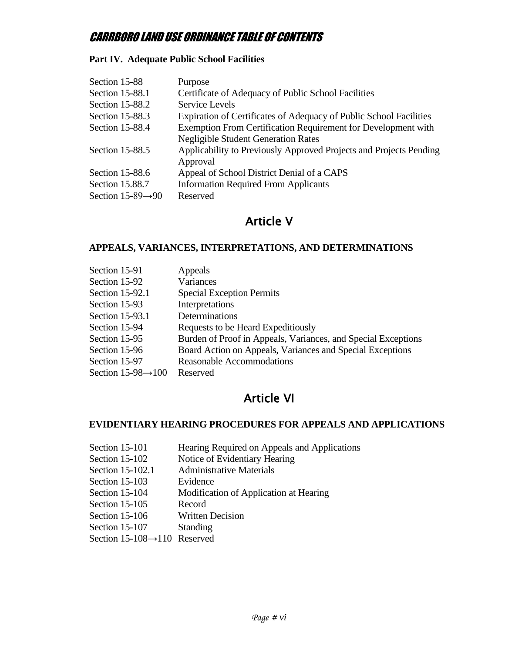### **Part IV. Adequate Public School Facilities**

| Section 15-88                  | Purpose                                                            |
|--------------------------------|--------------------------------------------------------------------|
| Section 15-88.1                | Certificate of Adequacy of Public School Facilities                |
| Section 15-88.2                | <b>Service Levels</b>                                              |
| Section 15-88.3                | Expiration of Certificates of Adequacy of Public School Facilities |
| Section 15-88.4                | Exemption From Certification Requirement for Development with      |
|                                | <b>Negligible Student Generation Rates</b>                         |
| Section 15-88.5                | Applicability to Previously Approved Projects and Projects Pending |
|                                | Approval                                                           |
| Section 15-88.6                | Appeal of School District Denial of a CAPS                         |
| Section 15.88.7                | <b>Information Required From Applicants</b>                        |
| Section 15-89 $\rightarrow$ 90 | Reserved                                                           |

# Article V

### **APPEALS, VARIANCES, INTERPRETATIONS, AND DETERMINATIONS**

| Section 15-91                   | Appeals                                                       |
|---------------------------------|---------------------------------------------------------------|
| Section 15-92                   | Variances                                                     |
| Section 15-92.1                 | <b>Special Exception Permits</b>                              |
| Section 15-93                   | Interpretations                                               |
| Section 15-93.1                 | Determinations                                                |
| Section 15-94                   | Requests to be Heard Expeditiously                            |
| Section 15-95                   | Burden of Proof in Appeals, Variances, and Special Exceptions |
| Section 15-96                   | Board Action on Appeals, Variances and Special Exceptions     |
| Section 15-97                   | <b>Reasonable Accommodations</b>                              |
| Section $15-98 \rightarrow 100$ | Reserved                                                      |

# Article VI

#### **EVIDENTIARY HEARING PROCEDURES FOR APPEALS AND APPLICATIONS**

| Section 15-101                            | Hearing Required on Appeals and Applications |
|-------------------------------------------|----------------------------------------------|
| Section 15-102                            | Notice of Evidentiary Hearing                |
| Section 15-102.1                          | <b>Administrative Materials</b>              |
| Section 15-103                            | Evidence                                     |
| Section 15-104                            | Modification of Application at Hearing       |
| Section 15-105                            | Record                                       |
| Section 15-106                            | <b>Written Decision</b>                      |
| Section 15-107                            | <b>Standing</b>                              |
| Section $15-108 \rightarrow 110$ Reserved |                                              |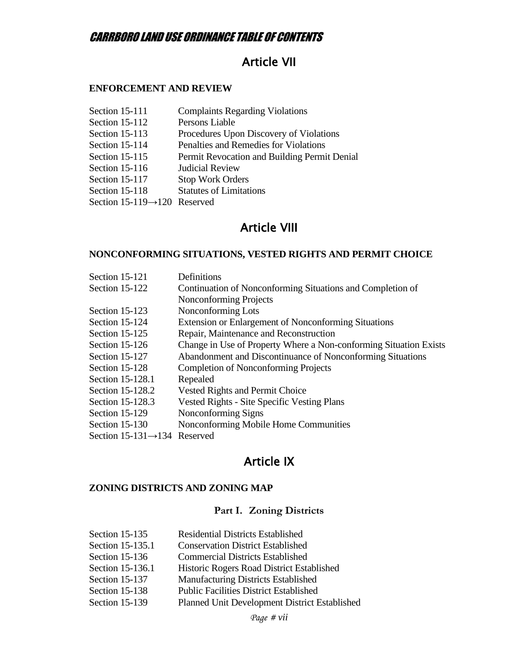# Article VII

### **ENFORCEMENT AND REVIEW**

| Section 15-111                            | <b>Complaints Regarding Violations</b>       |
|-------------------------------------------|----------------------------------------------|
| Section 15-112                            | Persons Liable                               |
| Section 15-113                            | Procedures Upon Discovery of Violations      |
| Section 15-114                            | Penalties and Remedies for Violations        |
| Section 15-115                            | Permit Revocation and Building Permit Denial |
| Section $15-116$                          | <b>Judicial Review</b>                       |
| Section 15-117                            | <b>Stop Work Orders</b>                      |
| Section 15-118                            | <b>Statutes of Limitations</b>               |
| Section $15-119 \rightarrow 120$ Reserved |                                              |

## Article VIII

#### **NONCONFORMING SITUATIONS, VESTED RIGHTS AND PERMIT CHOICE**

| Section 15-121                            | Definitions                                                       |
|-------------------------------------------|-------------------------------------------------------------------|
| Section 15-122                            | Continuation of Nonconforming Situations and Completion of        |
|                                           | <b>Nonconforming Projects</b>                                     |
| Section 15-123                            | Nonconforming Lots                                                |
| Section 15-124                            | <b>Extension or Enlargement of Nonconforming Situations</b>       |
| Section 15-125                            | Repair, Maintenance and Reconstruction                            |
| Section 15-126                            | Change in Use of Property Where a Non-conforming Situation Exists |
| Section 15-127                            | Abandonment and Discontinuance of Nonconforming Situations        |
| Section 15-128                            | <b>Completion of Nonconforming Projects</b>                       |
| Section 15-128.1                          | Repealed                                                          |
| Section 15-128.2                          | <b>Vested Rights and Permit Choice</b>                            |
| Section 15-128.3                          | <b>Vested Rights - Site Specific Vesting Plans</b>                |
| Section 15-129                            | Nonconforming Signs                                               |
| Section 15-130                            | Nonconforming Mobile Home Communities                             |
| Section $15-131 \rightarrow 134$ Reserved |                                                                   |

# Article IX

## **ZONING DISTRICTS AND ZONING MAP**

### **Part I. Zoning Districts**

| Section 15-135   | <b>Residential Districts Established</b>      |
|------------------|-----------------------------------------------|
| Section 15-135.1 | <b>Conservation District Established</b>      |
| Section 15-136   | <b>Commercial Districts Established</b>       |
| Section 15-136.1 | Historic Rogers Road District Established     |
| Section 15-137   | <b>Manufacturing Districts Established</b>    |
| Section 15-138   | <b>Public Facilities District Established</b> |
| Section 15-139   | Planned Unit Development District Established |
|                  |                                               |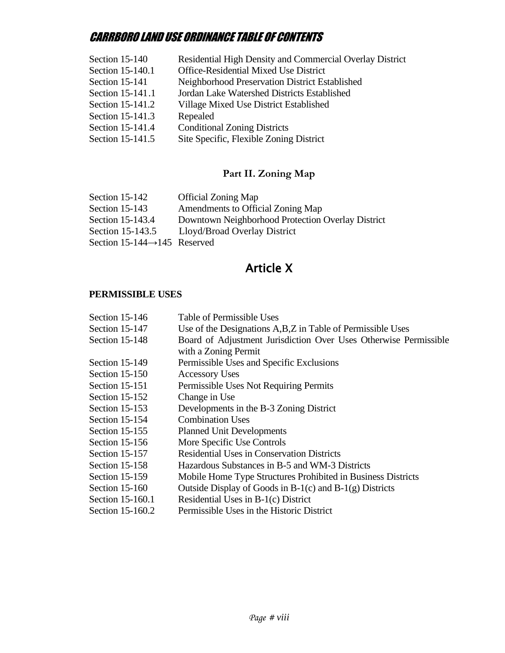| Section 15-140   | Residential High Density and Commercial Overlay District |
|------------------|----------------------------------------------------------|
| Section 15-140.1 | Office-Residential Mixed Use District                    |
| Section 15-141   | Neighborhood Preservation District Established           |
| Section 15-141.1 | Jordan Lake Watershed Districts Established              |
| Section 15-141.2 | Village Mixed Use District Established                   |
| Section 15-141.3 | Repealed                                                 |
| Section 15-141.4 | <b>Conditional Zoning Districts</b>                      |
| Section 15-141.5 | Site Specific, Flexible Zoning District                  |

### **Part II. Zoning Map**

| Section $15-142$                          | <b>Official Zoning Map</b>                        |
|-------------------------------------------|---------------------------------------------------|
| Section $15-143$                          | Amendments to Official Zoning Map                 |
| Section 15-143.4                          | Downtown Neighborhood Protection Overlay District |
| Section 15-143.5                          | Lloyd/Broad Overlay District                      |
| Section 15-144 $\rightarrow$ 145 Reserved |                                                   |
|                                           |                                                   |

# Article X

### **PERMISSIBLE USES**

| Section 15-146   | Table of Permissible Uses                                                                |
|------------------|------------------------------------------------------------------------------------------|
| Section 15-147   | Use of the Designations A, B, Z in Table of Permissible Uses                             |
| Section 15-148   | Board of Adjustment Jurisdiction Over Uses Otherwise Permissible<br>with a Zoning Permit |
| Section 15-149   | Permissible Uses and Specific Exclusions                                                 |
| Section 15-150   | <b>Accessory Uses</b>                                                                    |
| Section 15-151   | Permissible Uses Not Requiring Permits                                                   |
| Section 15-152   | Change in Use                                                                            |
| Section $15-153$ | Developments in the B-3 Zoning District                                                  |
| Section 15-154   | <b>Combination Uses</b>                                                                  |
| Section 15-155   | <b>Planned Unit Developments</b>                                                         |
| Section 15-156   | More Specific Use Controls                                                               |
| Section 15-157   | <b>Residential Uses in Conservation Districts</b>                                        |
| Section 15-158   | Hazardous Substances in B-5 and WM-3 Districts                                           |
| Section 15-159   | Mobile Home Type Structures Prohibited in Business Districts                             |
| Section 15-160   | Outside Display of Goods in $B-1(c)$ and $B-1(g)$ Districts                              |
| Section 15-160.1 | Residential Uses in B-1(c) District                                                      |
| Section 15-160.2 | Permissible Uses in the Historic District                                                |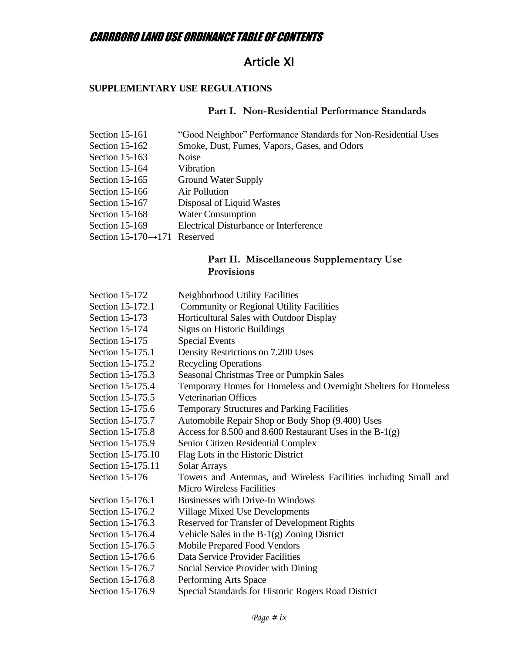# Article XI

## **SUPPLEMENTARY USE REGULATIONS**

## **Part I. Non-Residential Performance Standards**

| "Good Neighbor" Performance Standards for Non-Residential Uses |
|----------------------------------------------------------------|
| Smoke, Dust, Fumes, Vapors, Gases, and Odors                   |
| <b>Noise</b>                                                   |
| Vibration                                                      |
| <b>Ground Water Supply</b>                                     |
| Air Pollution                                                  |
| Disposal of Liquid Wastes                                      |
| <b>Water Consumption</b>                                       |
| <b>Electrical Disturbance or Interference</b>                  |
| Section $15-170 \rightarrow 171$ Reserved                      |
|                                                                |

### **Part II. Miscellaneous Supplementary Use Provisions**

| Section 15-172    | Neighborhood Utility Facilities                                  |
|-------------------|------------------------------------------------------------------|
| Section 15-172.1  | <b>Community or Regional Utility Facilities</b>                  |
| Section 15-173    | Horticultural Sales with Outdoor Display                         |
| Section 15-174    | Signs on Historic Buildings                                      |
| Section 15-175    | <b>Special Events</b>                                            |
| Section 15-175.1  | Density Restrictions on 7.200 Uses                               |
| Section 15-175.2  | <b>Recycling Operations</b>                                      |
| Section 15-175.3  | Seasonal Christmas Tree or Pumpkin Sales                         |
| Section 15-175.4  | Temporary Homes for Homeless and Overnight Shelters for Homeless |
| Section 15-175.5  | Veterinarian Offices                                             |
| Section 15-175.6  | <b>Temporary Structures and Parking Facilities</b>               |
| Section 15-175.7  | Automobile Repair Shop or Body Shop (9.400) Uses                 |
| Section 15-175.8  | Access for 8.500 and 8.600 Restaurant Uses in the $B-1(g)$       |
| Section 15-175.9  | Senior Citizen Residential Complex                               |
| Section 15-175.10 | Flag Lots in the Historic District                               |
| Section 15-175.11 | Solar Arrays                                                     |
| Section 15-176    | Towers and Antennas, and Wireless Facilities including Small and |
|                   | <b>Micro Wireless Facilities</b>                                 |
| Section 15-176.1  | <b>Businesses with Drive-In Windows</b>                          |
| Section 15-176.2  | <b>Village Mixed Use Developments</b>                            |
| Section 15-176.3  | Reserved for Transfer of Development Rights                      |
| Section 15-176.4  | Vehicle Sales in the $B-1(g)$ Zoning District                    |
| Section 15-176.5  | Mobile Prepared Food Vendors                                     |
| Section 15-176.6  | Data Service Provider Facilities                                 |
| Section 15-176.7  | Social Service Provider with Dining                              |
| Section 15-176.8  | Performing Arts Space                                            |
| Section 15-176.9  | Special Standards for Historic Rogers Road District              |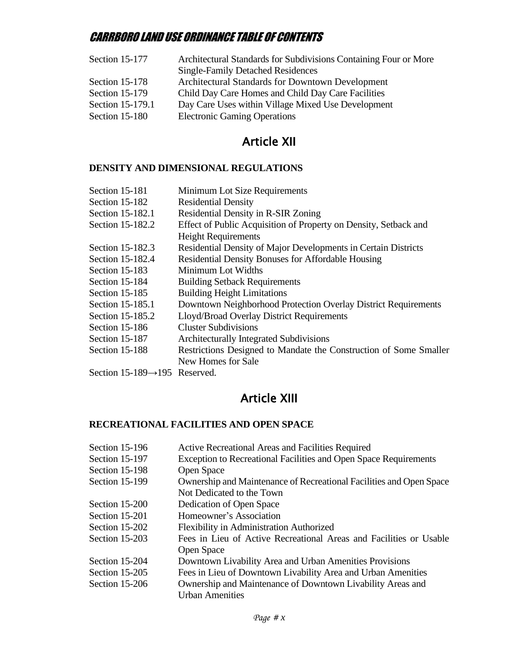| Section 15-177   | Architectural Standards for Subdivisions Containing Four or More |
|------------------|------------------------------------------------------------------|
|                  | <b>Single-Family Detached Residences</b>                         |
| Section 15-178   | <b>Architectural Standards for Downtown Development</b>          |
| Section 15-179   | Child Day Care Homes and Child Day Care Facilities               |
| Section 15-179.1 | Day Care Uses within Village Mixed Use Development               |
| Section 15-180   | <b>Electronic Gaming Operations</b>                              |

# Article XII

#### **DENSITY AND DIMENSIONAL REGULATIONS**

| Section 15-181                             | Minimum Lot Size Requirements                                     |
|--------------------------------------------|-------------------------------------------------------------------|
| Section 15-182                             | <b>Residential Density</b>                                        |
| Section 15-182.1                           | Residential Density in R-SIR Zoning                               |
| Section 15-182.2                           | Effect of Public Acquisition of Property on Density, Setback and  |
|                                            | <b>Height Requirements</b>                                        |
| Section 15-182.3                           | Residential Density of Major Developments in Certain Districts    |
| Section 15-182.4                           | <b>Residential Density Bonuses for Affordable Housing</b>         |
| Section 15-183                             | Minimum Lot Widths                                                |
| Section 15-184                             | <b>Building Setback Requirements</b>                              |
| <b>Section 15-185</b>                      | <b>Building Height Limitations</b>                                |
| Section 15-185.1                           | Downtown Neighborhood Protection Overlay District Requirements    |
| Section 15-185.2                           | Lloyd/Broad Overlay District Requirements                         |
| Section 15-186                             | <b>Cluster Subdivisions</b>                                       |
| Section 15-187                             | <b>Architecturally Integrated Subdivisions</b>                    |
| Section 15-188                             | Restrictions Designed to Mandate the Construction of Some Smaller |
|                                            | New Homes for Sale                                                |
| Section 15-189 $\rightarrow$ 195 Reserved. |                                                                   |

# Article XIII

### **RECREATIONAL FACILITIES AND OPEN SPACE**

| Section 15-196 | Active Recreational Areas and Facilities Required                       |
|----------------|-------------------------------------------------------------------------|
| Section 15-197 | <b>Exception to Recreational Facilities and Open Space Requirements</b> |
| Section 15-198 | Open Space                                                              |
| Section 15-199 | Ownership and Maintenance of Recreational Facilities and Open Space     |
|                | Not Dedicated to the Town                                               |
| Section 15-200 | Dedication of Open Space                                                |
| Section 15-201 | Homeowner's Association                                                 |
| Section 15-202 | Flexibility in Administration Authorized                                |
| Section 15-203 | Fees in Lieu of Active Recreational Areas and Facilities or Usable      |
|                | Open Space                                                              |
| Section 15-204 | Downtown Livability Area and Urban Amenities Provisions                 |
| Section 15-205 | Fees in Lieu of Downtown Livability Area and Urban Amenities            |
| Section 15-206 | Ownership and Maintenance of Downtown Livability Areas and              |
|                | <b>Urban Amenities</b>                                                  |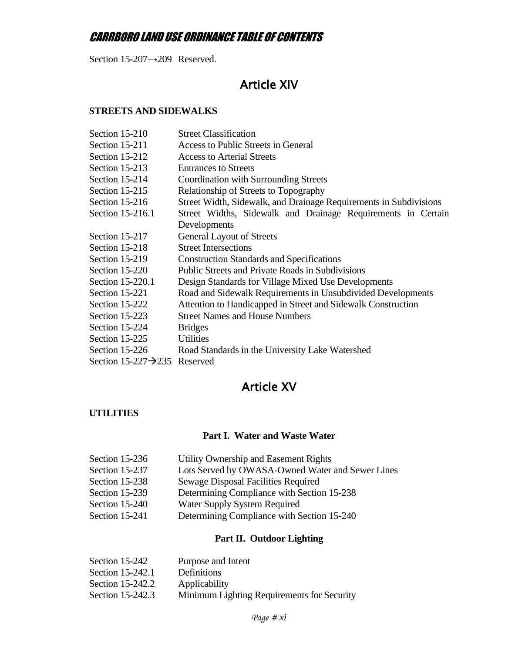Section 15-207→209 Reserved.

# Article XIV

### **STREETS AND SIDEWALKS**

| Section 15-210                            | <b>Street Classification</b>                                      |
|-------------------------------------------|-------------------------------------------------------------------|
| Section 15-211                            | Access to Public Streets in General                               |
| Section 15-212                            | <b>Access to Arterial Streets</b>                                 |
| Section 15-213                            | <b>Entrances to Streets</b>                                       |
| Section 15-214                            | Coordination with Surrounding Streets                             |
| Section 15-215                            | Relationship of Streets to Topography                             |
| Section 15-216                            | Street Width, Sidewalk, and Drainage Requirements in Subdivisions |
| Section 15-216.1                          | Street Widths, Sidewalk and Drainage Requirements in Certain      |
|                                           | Developments                                                      |
| Section 15-217                            | <b>General Layout of Streets</b>                                  |
| Section 15-218                            | <b>Street Intersections</b>                                       |
| Section 15-219                            | <b>Construction Standards and Specifications</b>                  |
| Section 15-220                            | <b>Public Streets and Private Roads in Subdivisions</b>           |
| Section 15-220.1                          | Design Standards for Village Mixed Use Developments               |
| Section 15-221                            | Road and Sidewalk Requirements in Unsubdivided Developments       |
| Section 15-222                            | Attention to Handicapped in Street and Sidewalk Construction      |
| Section 15-223                            | <b>Street Names and House Numbers</b>                             |
| Section 15-224                            | <b>Bridges</b>                                                    |
| Section 15-225                            | <b>Utilities</b>                                                  |
| Section 15-226                            | Road Standards in the University Lake Watershed                   |
| Section 15-227 $\rightarrow$ 235 Reserved |                                                                   |
|                                           |                                                                   |

# Article XV

### **UTILITIES**

### **Part I. Water and Waste Water**

| Utility Ownership and Easement Rights            |
|--------------------------------------------------|
| Lots Served by OWASA-Owned Water and Sewer Lines |
| Sewage Disposal Facilities Required              |
| Determining Compliance with Section 15-238       |
| Water Supply System Required                     |
| Determining Compliance with Section 15-240       |
|                                                  |

### **Part II. Outdoor Lighting**

| Section 15-242   | Purpose and Intent                         |
|------------------|--------------------------------------------|
| Section 15-242.1 | <b>Definitions</b>                         |
| Section 15-242.2 | Applicability                              |
| Section 15-242.3 | Minimum Lighting Requirements for Security |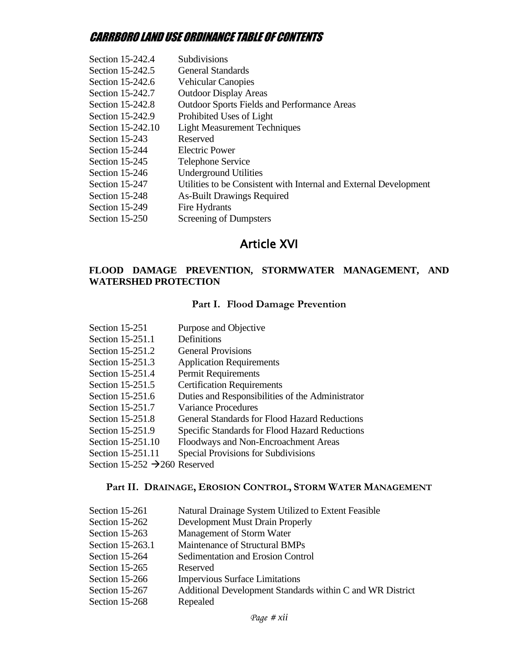| Section 15-242.4  | Subdivisions                                                      |
|-------------------|-------------------------------------------------------------------|
| Section 15-242.5  | <b>General Standards</b>                                          |
| Section 15-242.6  | <b>Vehicular Canopies</b>                                         |
| Section 15-242.7  | <b>Outdoor Display Areas</b>                                      |
| Section 15-242.8  | <b>Outdoor Sports Fields and Performance Areas</b>                |
| Section 15-242.9  | Prohibited Uses of Light                                          |
| Section 15-242.10 | <b>Light Measurement Techniques</b>                               |
| Section 15-243    | Reserved                                                          |
| Section 15-244    | <b>Electric Power</b>                                             |
| Section 15-245    | <b>Telephone Service</b>                                          |
| Section 15-246    | <b>Underground Utilities</b>                                      |
| Section 15-247    | Utilities to be Consistent with Internal and External Development |
| Section 15-248    | <b>As-Built Drawings Required</b>                                 |
| Section 15-249    | Fire Hydrants                                                     |
| Section 15-250    | Screening of Dumpsters                                            |

# Article XVI

### **FLOOD DAMAGE PREVENTION, STORMWATER MANAGEMENT, AND WATERSHED PROTECTION**

### **Part I. Flood Damage Prevention**

| Section 15-251                            | Purpose and Objective                                 |
|-------------------------------------------|-------------------------------------------------------|
| Section 15-251.1                          | Definitions                                           |
| Section 15-251.2                          | <b>General Provisions</b>                             |
| Section 15-251.3                          | <b>Application Requirements</b>                       |
| Section 15-251.4                          | <b>Permit Requirements</b>                            |
| Section 15-251.5                          | <b>Certification Requirements</b>                     |
| Section 15-251.6                          | Duties and Responsibilities of the Administrator      |
| Section 15-251.7                          | <b>Variance Procedures</b>                            |
| Section 15-251.8                          | General Standards for Flood Hazard Reductions         |
| Section 15-251.9                          | <b>Specific Standards for Flood Hazard Reductions</b> |
| Section 15-251.10                         | Floodways and Non-Encroachment Areas                  |
| Section 15-251.11                         | Special Provisions for Subdivisions                   |
| Section 15-252 $\rightarrow$ 260 Reserved |                                                       |

## **Part II. DRAINAGE, EROSION CONTROL, STORM WATER MANAGEMENT**

| Section 15-261   | Natural Drainage System Utilized to Extent Feasible       |
|------------------|-----------------------------------------------------------|
| Section 15-262   | <b>Development Must Drain Properly</b>                    |
| Section 15-263   | Management of Storm Water                                 |
| Section 15-263.1 | Maintenance of Structural BMPs                            |
| Section 15-264   | Sedimentation and Erosion Control                         |
| Section 15-265   | Reserved                                                  |
| Section 15-266   | <b>Impervious Surface Limitations</b>                     |
| Section 15-267   | Additional Development Standards within C and WR District |
| Section 15-268   | Repealed                                                  |
|                  |                                                           |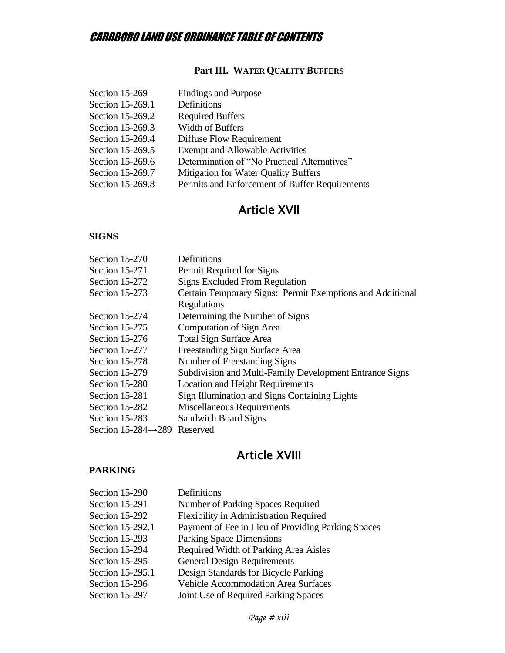### **Part III. WATER QUALITY BUFFERS**

| Section 15-269   | <b>Findings and Purpose</b>                    |
|------------------|------------------------------------------------|
| Section 15-269.1 | Definitions                                    |
| Section 15-269.2 | <b>Required Buffers</b>                        |
| Section 15-269.3 | Width of Buffers                               |
| Section 15-269.4 | Diffuse Flow Requirement                       |
| Section 15-269.5 | <b>Exempt and Allowable Activities</b>         |
| Section 15-269.6 | Determination of "No Practical Alternatives"   |
| Section 15-269.7 | Mitigation for Water Quality Buffers           |
| Section 15-269.8 | Permits and Enforcement of Buffer Requirements |

# Article XVII

#### **SIGNS**

| Section 15-270                            | Definitions                                               |
|-------------------------------------------|-----------------------------------------------------------|
| Section 15-271                            | Permit Required for Signs                                 |
| Section 15-272                            | <b>Signs Excluded From Regulation</b>                     |
| Section 15-273                            | Certain Temporary Signs: Permit Exemptions and Additional |
|                                           | Regulations                                               |
| Section 15-274                            | Determining the Number of Signs                           |
| Section 15-275                            | Computation of Sign Area                                  |
| Section 15-276                            | <b>Total Sign Surface Area</b>                            |
| Section 15-277                            | Freestanding Sign Surface Area                            |
| Section 15-278                            | Number of Freestanding Signs                              |
| Section 15-279                            | Subdivision and Multi-Family Development Entrance Signs   |
| Section 15-280                            | <b>Location and Height Requirements</b>                   |
| Section 15-281                            | Sign Illumination and Signs Containing Lights             |
| Section 15-282                            | <b>Miscellaneous Requirements</b>                         |
| Section 15-283                            | <b>Sandwich Board Signs</b>                               |
| Section 15-284 $\rightarrow$ 289 Reserved |                                                           |

# Article XVIII

### **PARKING**

| Section 15-290   | Definitions                                        |
|------------------|----------------------------------------------------|
| Section 15-291   | Number of Parking Spaces Required                  |
| Section 15-292   | <b>Flexibility in Administration Required</b>      |
| Section 15-292.1 | Payment of Fee in Lieu of Providing Parking Spaces |
| Section 15-293   | <b>Parking Space Dimensions</b>                    |
| Section 15-294   | Required Width of Parking Area Aisles              |
| Section 15-295   | <b>General Design Requirements</b>                 |
| Section 15-295.1 | Design Standards for Bicycle Parking               |
| Section 15-296   | <b>Vehicle Accommodation Area Surfaces</b>         |
| Section 15-297   | Joint Use of Required Parking Spaces               |
|                  |                                                    |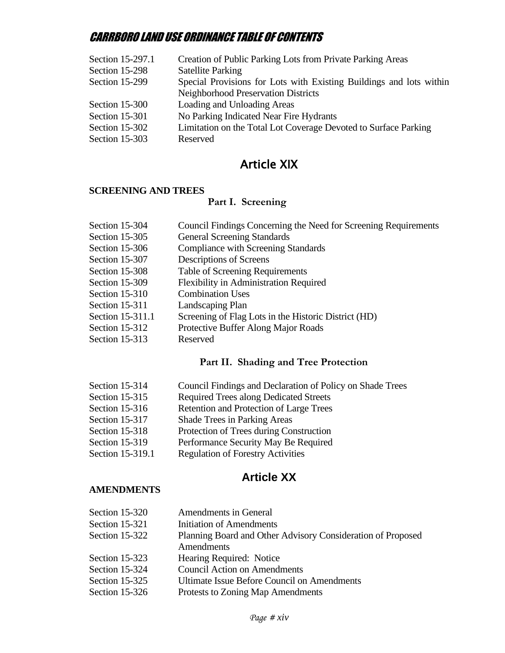| Creation of Public Parking Lots from Private Parking Areas          |
|---------------------------------------------------------------------|
| <b>Satellite Parking</b>                                            |
| Special Provisions for Lots with Existing Buildings and lots within |
| <b>Neighborhood Preservation Districts</b>                          |
| Loading and Unloading Areas                                         |
| No Parking Indicated Near Fire Hydrants                             |
| Limitation on the Total Lot Coverage Devoted to Surface Parking     |
| Reserved                                                            |
|                                                                     |

# Article XIX

#### **SCREENING AND TREES**

### **Part I. Screening**

| Section 15-304   | Council Findings Concerning the Need for Screening Requirements |
|------------------|-----------------------------------------------------------------|
| Section 15-305   | <b>General Screening Standards</b>                              |
| Section 15-306   | <b>Compliance with Screening Standards</b>                      |
| Section 15-307   | Descriptions of Screens                                         |
| Section 15-308   | <b>Table of Screening Requirements</b>                          |
| Section 15-309   | <b>Flexibility in Administration Required</b>                   |
| Section 15-310   | <b>Combination Uses</b>                                         |
| Section 15-311   | Landscaping Plan                                                |
| Section 15-311.1 | Screening of Flag Lots in the Historic District (HD)            |
| Section 15-312   | Protective Buffer Along Major Roads                             |
| Section $15-313$ | Reserved                                                        |
|                  |                                                                 |

#### **Part II. Shading and Tree Protection**

| Section 15-314 |  | Council Findings and Declaration of Policy on Shade Trees |  |
|----------------|--|-----------------------------------------------------------|--|
|                |  |                                                           |  |

- Section 15-315 Required Trees along Dedicated Streets
- Section 15-316 Retention and Protection of Large Trees
- Section 15-317 Shade Trees in Parking Areas
- Section 15-318 Protection of Trees during Construction
- Section 15-319 Performance Security May Be Required
- Section 15-319.1 Regulation of Forestry Activities

# **Article XX**

#### **AMENDMENTS**

| Section 15-320 | <b>Amendments in General</b>                                |
|----------------|-------------------------------------------------------------|
| Section 15-321 | <b>Initiation of Amendments</b>                             |
| Section 15-322 | Planning Board and Other Advisory Consideration of Proposed |
|                | Amendments                                                  |
| Section 15-323 | Hearing Required: Notice                                    |
| Section 15-324 | <b>Council Action on Amendments</b>                         |
| Section 15-325 | <b>Ultimate Issue Before Council on Amendments</b>          |
| Section 15-326 | Protests to Zoning Map Amendments                           |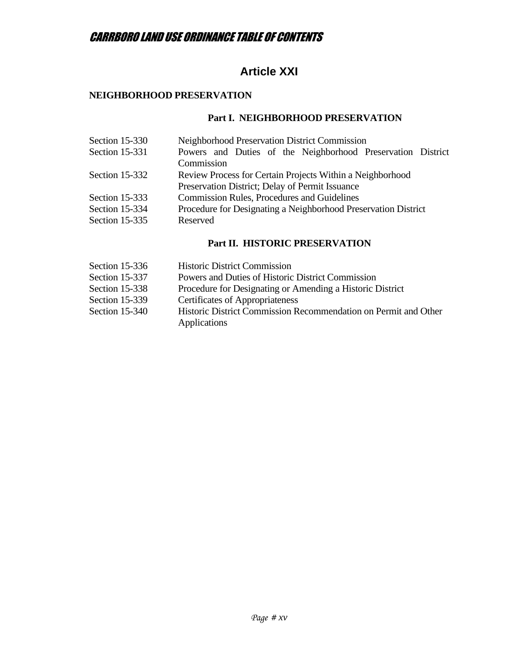# **Article XXI**

#### **NEIGHBORHOOD PRESERVATION**

### **Part I. NEIGHBORHOOD PRESERVATION**

| Section 15-330        | <b>Neighborhood Preservation District Commission</b>           |
|-----------------------|----------------------------------------------------------------|
| <b>Section 15-331</b> | Powers and Duties of the Neighborhood Preservation District    |
|                       | Commission                                                     |
| Section 15-332        | Review Process for Certain Projects Within a Neighborhood      |
|                       | Preservation District; Delay of Permit Issuance                |
| Section 15-333        | <b>Commission Rules, Procedures and Guidelines</b>             |
| Section 15-334        | Procedure for Designating a Neighborhood Preservation District |
| Section 15-335        | Reserved                                                       |
|                       |                                                                |

### **Part II. HISTORIC PRESERVATION**

| Section $15-336$ | <b>Historic District Commission</b>                                             |
|------------------|---------------------------------------------------------------------------------|
| Section 15-337   | Powers and Duties of Historic District Commission                               |
| Section 15-338   | Procedure for Designating or Amending a Historic District                       |
| Section 15-339   | <b>Certificates of Appropriateness</b>                                          |
| Section 15-340   | Historic District Commission Recommendation on Permit and Other<br>Applications |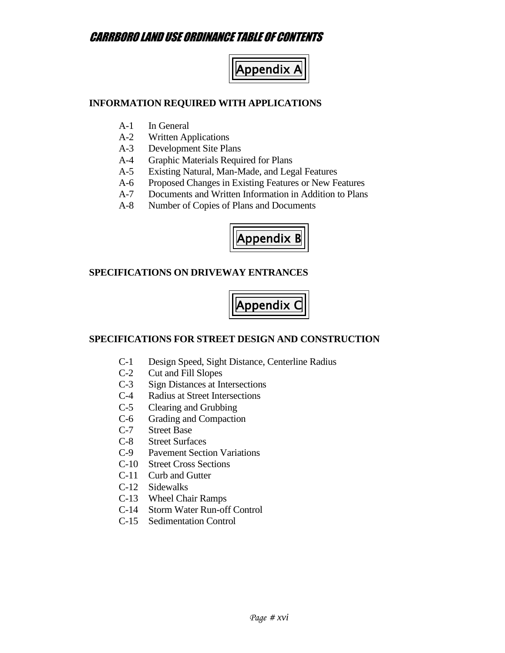

#### **INFORMATION REQUIRED WITH APPLICATIONS**

- A-1 In General
- A-2 Written Applications
- A-3 Development Site Plans
- A-4 Graphic Materials Required for Plans
- A-5 Existing Natural, Man-Made, and Legal Features
- A-6 Proposed Changes in Existing Features or New Features
- A-7 Documents and Written Information in Addition to Plans
- A-8 Number of Copies of Plans and Documents



#### **SPECIFICATIONS ON DRIVEWAY ENTRANCES**



#### **SPECIFICATIONS FOR STREET DESIGN AND CONSTRUCTION**

- C-1 Design Speed, Sight Distance, Centerline Radius
- C-2 Cut and Fill Slopes
- C-3 Sign Distances at Intersections
- C-4 Radius at Street Intersections
- C-5 Clearing and Grubbing
- C-6 Grading and Compaction
- C-7 Street Base
- C-8 Street Surfaces
- C-9 Pavement Section Variations
- C-10 Street Cross Sections
- C-11 Curb and Gutter
- C-12 Sidewalks
- C-13 Wheel Chair Ramps
- C-14 Storm Water Run-off Control
- C-15 Sedimentation Control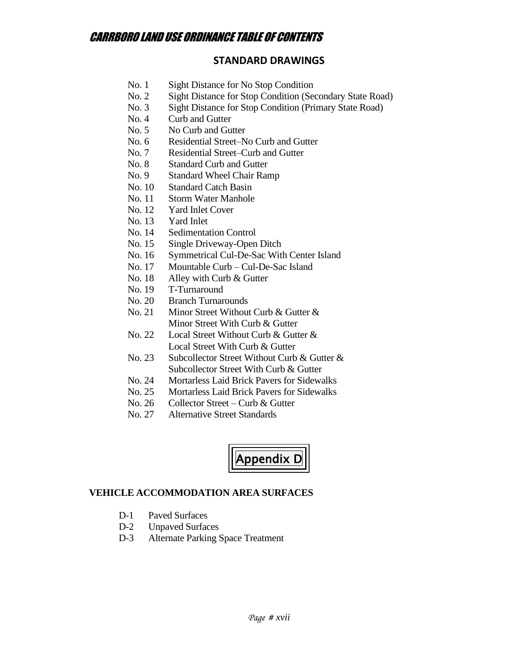### **STANDARD DRAWINGS**

- No. 1 Sight Distance for No Stop Condition
- No. 2 Sight Distance for Stop Condition (Secondary State Road)
- No. 3 Sight Distance for Stop Condition (Primary State Road)
- No. 4 Curb and Gutter
- No. 5 No Curb and Gutter
- No. 6 Residential Street–No Curb and Gutter
- No. 7 Residential Street–Curb and Gutter
- No. 8 Standard Curb and Gutter
- No. 9 Standard Wheel Chair Ramp
- No. 10 Standard Catch Basin
- No. 11 Storm Water Manhole
- No. 12 Yard Inlet Cover
- No. 13 Yard Inlet
- No. 14 Sedimentation Control
- No. 15 Single Driveway-Open Ditch
- No. 16 Symmetrical Cul-De-Sac With Center Island
- No. 17 Mountable Curb Cul-De-Sac Island
- No. 18 Alley with Curb & Gutter
- No. 19 T-Turnaround
- No. 20 Branch Turnarounds
- No. 21 Minor Street Without Curb & Gutter & Minor Street With Curb & Gutter
- No. 22 Local Street Without Curb & Gutter & Local Street With Curb & Gutter
- No. 23 Subcollector Street Without Curb & Gutter & Subcollector Street With Curb & Gutter
- No. 24 Mortarless Laid Brick Pavers for Sidewalks
- No. 25 Mortarless Laid Brick Pavers for Sidewalks
- No. 26 Collector Street Curb & Gutter
- No. 27 Alternative Street Standards



### **VEHICLE ACCOMMODATION AREA SURFACES**

- D-1 Paved Surfaces
- D-2 Unpaved Surfaces
- D-3 Alternate Parking Space Treatment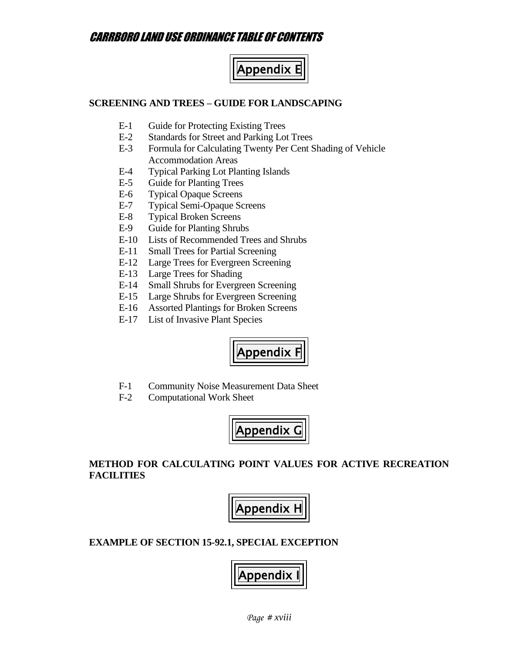

#### **SCREENING AND TREES – GUIDE FOR LANDSCAPING**

- E-1 Guide for Protecting Existing Trees
- E-2 Standards for Street and Parking Lot Trees
- E-3 Formula for Calculating Twenty Per Cent Shading of Vehicle Accommodation Areas
- E-4 Typical Parking Lot Planting Islands
- E-5 Guide for Planting Trees
- E-6 Typical Opaque Screens
- E-7 Typical Semi-Opaque Screens
- E-8 Typical Broken Screens
- E-9 Guide for Planting Shrubs
- E-10 Lists of Recommended Trees and Shrubs
- E-11 Small Trees for Partial Screening
- E-12 Large Trees for Evergreen Screening
- E-13 Large Trees for Shading
- E-14 Small Shrubs for Evergreen Screening
- E-15 Large Shrubs for Evergreen Screening
- E-16 Assorted Plantings for Broken Screens
- E-17 List of Invasive Plant Species



- F-1 Community Noise Measurement Data Sheet
- F-2 Computational Work Sheet



### **METHOD FOR CALCULATING POINT VALUES FOR ACTIVE RECREATION FACILITIES**



#### **EXAMPLE OF SECTION 15-92.1, SPECIAL EXCEPTION**